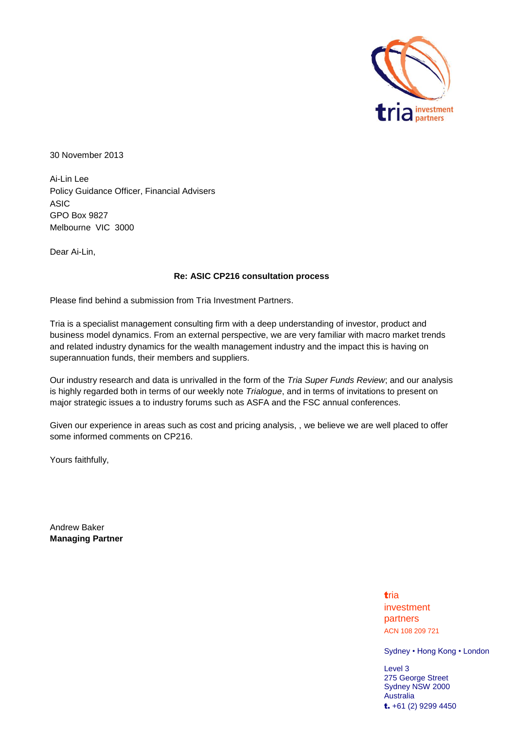

30 November 2013

Ai-Lin Lee Policy Guidance Officer, Financial Advisers ASIC GPO Box 9827 Melbourne VIC 3000

Dear Ai-Lin,

## **Re: ASIC CP216 consultation process**

Please find behind a submission from Tria Investment Partners.

Tria is a specialist management consulting firm with a deep understanding of investor, product and business model dynamics. From an external perspective, we are very familiar with macro market trends and related industry dynamics for the wealth management industry and the impact this is having on superannuation funds, their members and suppliers.

Our industry research and data is unrivalled in the form of the *Tria Super Funds Review*; and our analysis is highly regarded both in terms of our weekly note *Trialogue*, and in terms of invitations to present on major strategic issues a to industry forums such as ASFA and the FSC annual conferences.

Given our experience in areas such as cost and pricing analysis, , we believe we are well placed to offer some informed comments on CP216.

Yours faithfully,

Andrew Baker **Managing Partner**

> tria investment partners ACN 108 209 721

Sydney • Hong Kong • London

Level 3 275 George Street Sydney NSW 2000 Australia t. +61 (2) 9299 4450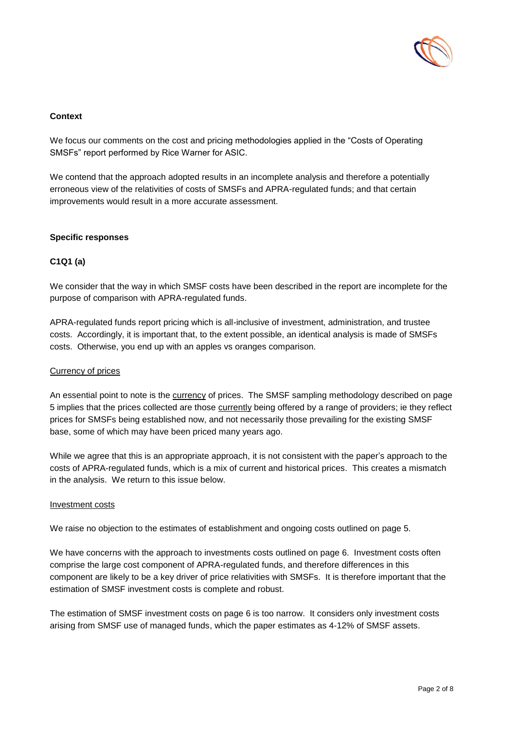

## **Context**

We focus our comments on the cost and pricing methodologies applied in the "Costs of Operating SMSFs" report performed by Rice Warner for ASIC.

We contend that the approach adopted results in an incomplete analysis and therefore a potentially erroneous view of the relativities of costs of SMSFs and APRA-regulated funds; and that certain improvements would result in a more accurate assessment.

#### **Specific responses**

## **C1Q1 (a)**

We consider that the way in which SMSF costs have been described in the report are incomplete for the purpose of comparison with APRA-regulated funds.

APRA-regulated funds report pricing which is all-inclusive of investment, administration, and trustee costs. Accordingly, it is important that, to the extent possible, an identical analysis is made of SMSFs costs. Otherwise, you end up with an apples vs oranges comparison.

## Currency of prices

An essential point to note is the currency of prices. The SMSF sampling methodology described on page 5 implies that the prices collected are those currently being offered by a range of providers; ie they reflect prices for SMSFs being established now, and not necessarily those prevailing for the existing SMSF base, some of which may have been priced many years ago.

While we agree that this is an appropriate approach, it is not consistent with the paper's approach to the costs of APRA-regulated funds, which is a mix of current and historical prices. This creates a mismatch in the analysis. We return to this issue below.

#### Investment costs

We raise no objection to the estimates of establishment and ongoing costs outlined on page 5.

We have concerns with the approach to investments costs outlined on page 6. Investment costs often comprise the large cost component of APRA-regulated funds, and therefore differences in this component are likely to be a key driver of price relativities with SMSFs. It is therefore important that the estimation of SMSF investment costs is complete and robust.

The estimation of SMSF investment costs on page 6 is too narrow. It considers only investment costs arising from SMSF use of managed funds, which the paper estimates as 4-12% of SMSF assets.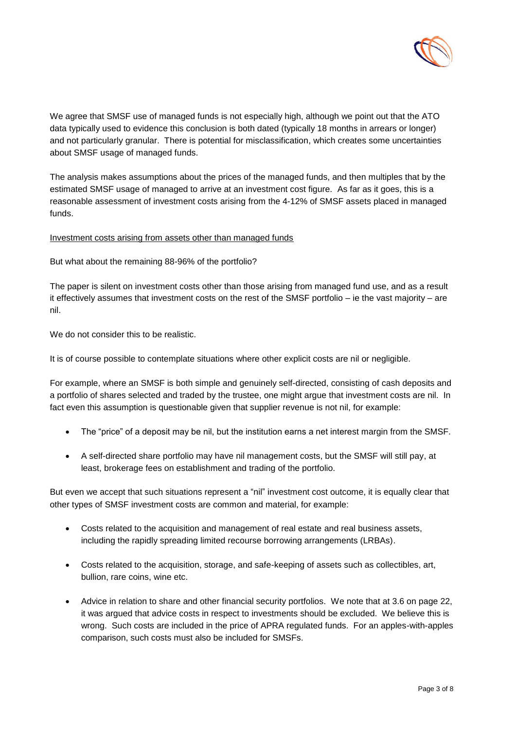

We agree that SMSF use of managed funds is not especially high, although we point out that the ATO data typically used to evidence this conclusion is both dated (typically 18 months in arrears or longer) and not particularly granular. There is potential for misclassification, which creates some uncertainties about SMSF usage of managed funds.

The analysis makes assumptions about the prices of the managed funds, and then multiples that by the estimated SMSF usage of managed to arrive at an investment cost figure. As far as it goes, this is a reasonable assessment of investment costs arising from the 4-12% of SMSF assets placed in managed funds.

## Investment costs arising from assets other than managed funds

But what about the remaining 88-96% of the portfolio?

The paper is silent on investment costs other than those arising from managed fund use, and as a result it effectively assumes that investment costs on the rest of the SMSF portfolio – ie the vast majority – are nil.

We do not consider this to be realistic.

It is of course possible to contemplate situations where other explicit costs are nil or negligible.

For example, where an SMSF is both simple and genuinely self-directed, consisting of cash deposits and a portfolio of shares selected and traded by the trustee, one might argue that investment costs are nil. In fact even this assumption is questionable given that supplier revenue is not nil, for example:

- The "price" of a deposit may be nil, but the institution earns a net interest margin from the SMSF.
- A self-directed share portfolio may have nil management costs, but the SMSF will still pay, at least, brokerage fees on establishment and trading of the portfolio.

But even we accept that such situations represent a "nil" investment cost outcome, it is equally clear that other types of SMSF investment costs are common and material, for example:

- Costs related to the acquisition and management of real estate and real business assets, including the rapidly spreading limited recourse borrowing arrangements (LRBAs).
- Costs related to the acquisition, storage, and safe-keeping of assets such as collectibles, art, bullion, rare coins, wine etc.
- Advice in relation to share and other financial security portfolios. We note that at 3.6 on page 22, it was argued that advice costs in respect to investments should be excluded. We believe this is wrong. Such costs are included in the price of APRA regulated funds. For an apples-with-apples comparison, such costs must also be included for SMSFs.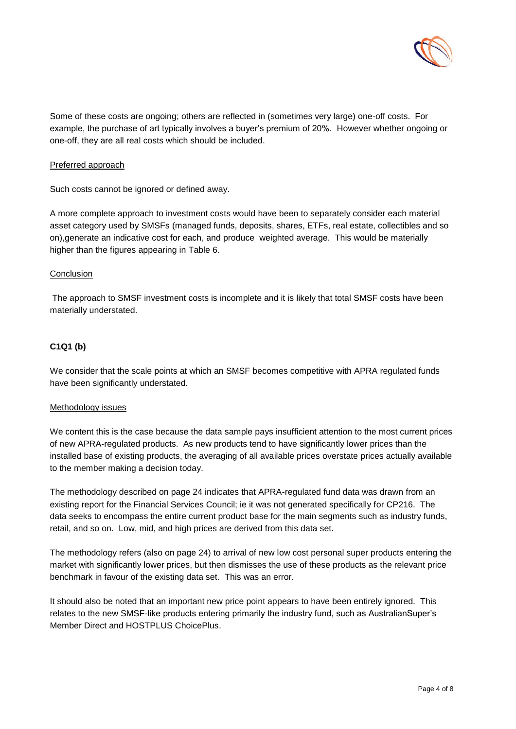

Some of these costs are ongoing; others are reflected in (sometimes very large) one-off costs. For example, the purchase of art typically involves a buyer's premium of 20%. However whether ongoing or one-off, they are all real costs which should be included.

#### Preferred approach

Such costs cannot be ignored or defined away.

A more complete approach to investment costs would have been to separately consider each material asset category used by SMSFs (managed funds, deposits, shares, ETFs, real estate, collectibles and so on),generate an indicative cost for each, and produce weighted average. This would be materially higher than the figures appearing in Table 6.

#### **Conclusion**

The approach to SMSF investment costs is incomplete and it is likely that total SMSF costs have been materially understated.

## **C1Q1 (b)**

We consider that the scale points at which an SMSF becomes competitive with APRA regulated funds have been significantly understated.

#### Methodology issues

We content this is the case because the data sample pays insufficient attention to the most current prices of new APRA-regulated products. As new products tend to have significantly lower prices than the installed base of existing products, the averaging of all available prices overstate prices actually available to the member making a decision today.

The methodology described on page 24 indicates that APRA-regulated fund data was drawn from an existing report for the Financial Services Council; ie it was not generated specifically for CP216. The data seeks to encompass the entire current product base for the main segments such as industry funds, retail, and so on. Low, mid, and high prices are derived from this data set.

The methodology refers (also on page 24) to arrival of new low cost personal super products entering the market with significantly lower prices, but then dismisses the use of these products as the relevant price benchmark in favour of the existing data set. This was an error.

It should also be noted that an important new price point appears to have been entirely ignored. This relates to the new SMSF-like products entering primarily the industry fund, such as AustralianSuper's Member Direct and HOSTPLUS ChoicePlus.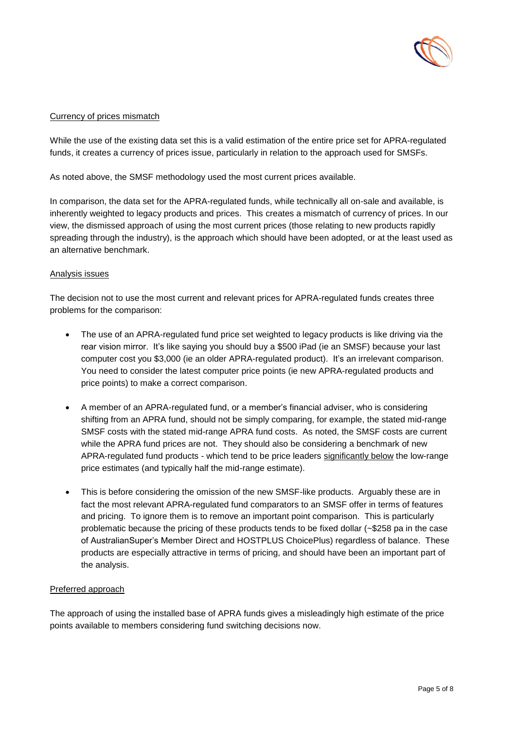

# Currency of prices mismatch

While the use of the existing data set this is a valid estimation of the entire price set for APRA-regulated funds, it creates a currency of prices issue, particularly in relation to the approach used for SMSFs.

As noted above, the SMSF methodology used the most current prices available.

In comparison, the data set for the APRA-regulated funds, while technically all on-sale and available, is inherently weighted to legacy products and prices. This creates a mismatch of currency of prices. In our view, the dismissed approach of using the most current prices (those relating to new products rapidly spreading through the industry), is the approach which should have been adopted, or at the least used as an alternative benchmark.

## Analysis issues

The decision not to use the most current and relevant prices for APRA-regulated funds creates three problems for the comparison:

- The use of an APRA-regulated fund price set weighted to legacy products is like driving via the rear vision mirror. It's like saying you should buy a \$500 iPad (ie an SMSF) because your last computer cost you \$3,000 (ie an older APRA-regulated product). It's an irrelevant comparison. You need to consider the latest computer price points (ie new APRA-regulated products and price points) to make a correct comparison.
- A member of an APRA-regulated fund, or a member's financial adviser, who is considering shifting from an APRA fund, should not be simply comparing, for example, the stated mid-range SMSF costs with the stated mid-range APRA fund costs. As noted, the SMSF costs are current while the APRA fund prices are not. They should also be considering a benchmark of new APRA-regulated fund products - which tend to be price leaders significantly below the low-range price estimates (and typically half the mid-range estimate).
- This is before considering the omission of the new SMSF-like products. Arguably these are in fact the most relevant APRA-regulated fund comparators to an SMSF offer in terms of features and pricing. To ignore them is to remove an important point comparison. This is particularly problematic because the pricing of these products tends to be fixed dollar (~\$258 pa in the case of AustralianSuper's Member Direct and HOSTPLUS ChoicePlus) regardless of balance. These products are especially attractive in terms of pricing, and should have been an important part of the analysis.

## Preferred approach

The approach of using the installed base of APRA funds gives a misleadingly high estimate of the price points available to members considering fund switching decisions now.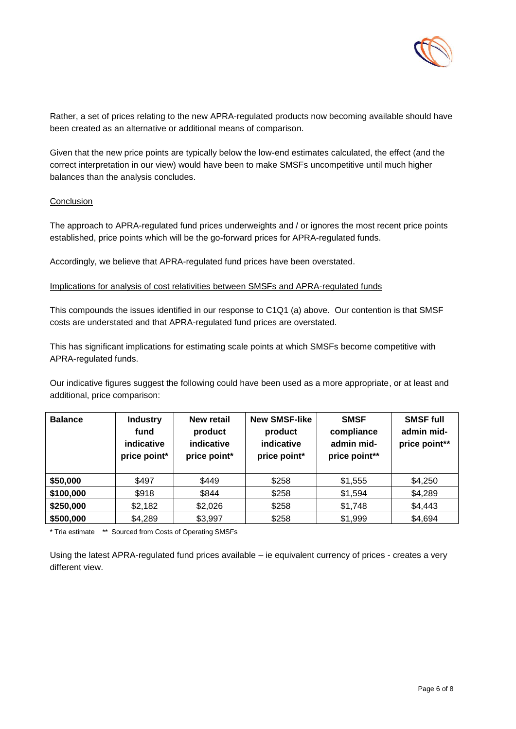

Rather, a set of prices relating to the new APRA-regulated products now becoming available should have been created as an alternative or additional means of comparison.

Given that the new price points are typically below the low-end estimates calculated, the effect (and the correct interpretation in our view) would have been to make SMSFs uncompetitive until much higher balances than the analysis concludes.

#### **Conclusion**

The approach to APRA-regulated fund prices underweights and / or ignores the most recent price points established, price points which will be the go-forward prices for APRA-regulated funds.

Accordingly, we believe that APRA-regulated fund prices have been overstated.

#### Implications for analysis of cost relativities between SMSFs and APRA-regulated funds

This compounds the issues identified in our response to C1Q1 (a) above. Our contention is that SMSF costs are understated and that APRA-regulated fund prices are overstated.

This has significant implications for estimating scale points at which SMSFs become competitive with APRA-regulated funds.

Our indicative figures suggest the following could have been used as a more appropriate, or at least and additional, price comparison:

| <b>Balance</b> | <b>Industry</b><br>fund<br>indicative<br>price point* | New retail<br>product<br>indicative<br>price point* | <b>New SMSF-like</b><br>product<br>indicative<br>price point* | <b>SMSF</b><br>compliance<br>admin mid-<br>price point** | <b>SMSF full</b><br>admin mid-<br>price point** |
|----------------|-------------------------------------------------------|-----------------------------------------------------|---------------------------------------------------------------|----------------------------------------------------------|-------------------------------------------------|
| \$50,000       | \$497                                                 | \$449                                               | \$258                                                         | \$1,555                                                  | \$4,250                                         |
| \$100,000      | \$918                                                 | \$844                                               | \$258                                                         | \$1,594                                                  | \$4,289                                         |
| \$250,000      | \$2,182                                               | \$2,026                                             | \$258                                                         | \$1,748                                                  | \$4,443                                         |
| \$500,000      | \$4,289                                               | \$3,997                                             | \$258                                                         | \$1,999                                                  | \$4,694                                         |

\* Tria estimate \*\* Sourced from Costs of Operating SMSFs

Using the latest APRA-regulated fund prices available – ie equivalent currency of prices - creates a very different view.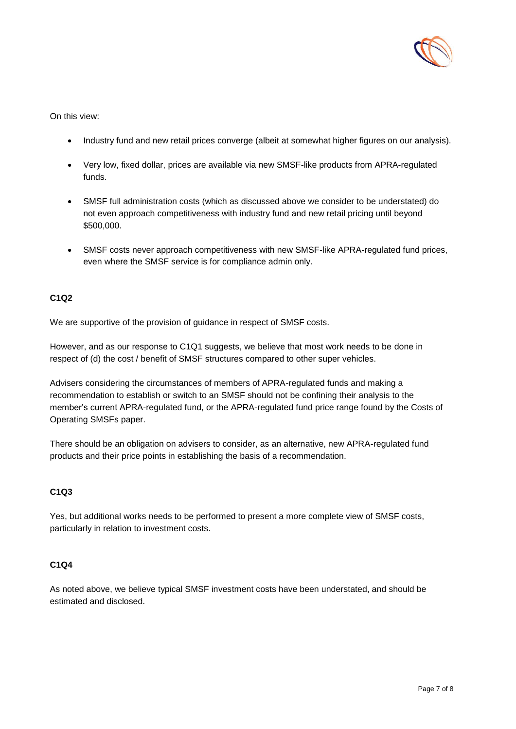

On this view:

- Industry fund and new retail prices converge (albeit at somewhat higher figures on our analysis).
- Very low, fixed dollar, prices are available via new SMSF-like products from APRA-regulated funds.
- SMSF full administration costs (which as discussed above we consider to be understated) do not even approach competitiveness with industry fund and new retail pricing until beyond \$500,000.
- SMSF costs never approach competitiveness with new SMSF-like APRA-regulated fund prices, even where the SMSF service is for compliance admin only.

## **C1Q2**

We are supportive of the provision of guidance in respect of SMSF costs.

However, and as our response to C1Q1 suggests, we believe that most work needs to be done in respect of (d) the cost / benefit of SMSF structures compared to other super vehicles.

Advisers considering the circumstances of members of APRA-regulated funds and making a recommendation to establish or switch to an SMSF should not be confining their analysis to the member's current APRA-regulated fund, or the APRA-regulated fund price range found by the Costs of Operating SMSFs paper.

There should be an obligation on advisers to consider, as an alternative, new APRA-regulated fund products and their price points in establishing the basis of a recommendation.

## **C1Q3**

Yes, but additional works needs to be performed to present a more complete view of SMSF costs, particularly in relation to investment costs.

# **C1Q4**

As noted above, we believe typical SMSF investment costs have been understated, and should be estimated and disclosed.